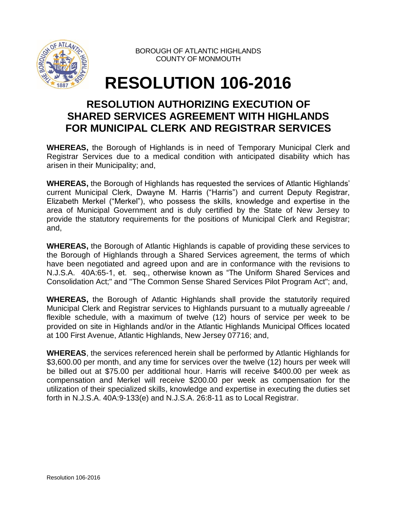

BOROUGH OF ATLANTIC HIGHLANDS COUNTY OF MONMOUTH

## **RESOLUTION 106-2016**

## **RESOLUTION AUTHORIZING EXECUTION OF SHARED SERVICES AGREEMENT WITH HIGHLANDS FOR MUNICIPAL CLERK AND REGISTRAR SERVICES**

**WHEREAS,** the Borough of Highlands is in need of Temporary Municipal Clerk and Registrar Services due to a medical condition with anticipated disability which has arisen in their Municipality; and,

**WHEREAS,** the Borough of Highlands has requested the services of Atlantic Highlands' current Municipal Clerk, Dwayne M. Harris ("Harris") and current Deputy Registrar, Elizabeth Merkel ("Merkel"), who possess the skills, knowledge and expertise in the area of Municipal Government and is duly certified by the State of New Jersey to provide the statutory requirements for the positions of Municipal Clerk and Registrar; and,

**WHEREAS,** the Borough of Atlantic Highlands is capable of providing these services to the Borough of Highlands through a Shared Services agreement, the terms of which have been negotiated and agreed upon and are in conformance with the revisions to N.J.S.A. 40A:65-1, et. seq., otherwise known as "The Uniform Shared Services and Consolidation Act;" and "The Common Sense Shared Services Pilot Program Act"; and,

**WHEREAS,** the Borough of Atlantic Highlands shall provide the statutorily required Municipal Clerk and Registrar services to Highlands pursuant to a mutually agreeable / flexible schedule, with a maximum of twelve (12) hours of service per week to be provided on site in Highlands and/or in the Atlantic Highlands Municipal Offices located at 100 First Avenue, Atlantic Highlands, New Jersey 07716; and,

**WHEREAS**, the services referenced herein shall be performed by Atlantic Highlands for \$3,600.00 per month, and any time for services over the twelve (12) hours per week will be billed out at \$75.00 per additional hour. Harris will receive \$400.00 per week as compensation and Merkel will receive \$200.00 per week as compensation for the utilization of their specialized skills, knowledge and expertise in executing the duties set forth in N.J.S.A. 40A:9-133(e) and N.J.S.A. 26:8-11 as to Local Registrar.